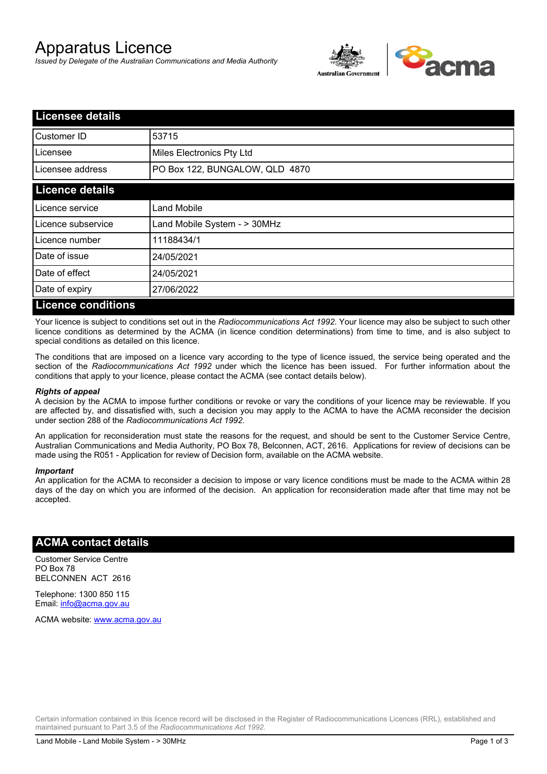# Apparatus Licence

*Issued by Delegate of the Australian Communications and Media Authority*



| <b>Licensee details</b>   |                                |  |
|---------------------------|--------------------------------|--|
| Customer ID               | 53715                          |  |
| Licensee                  | Miles Electronics Pty Ltd      |  |
| Licensee address          | PO Box 122, BUNGALOW, QLD 4870 |  |
| <b>Licence details</b>    |                                |  |
| Licence service           | <b>Land Mobile</b>             |  |
| Licence subservice        | Land Mobile System - > 30MHz   |  |
| Licence number            | 11188434/1                     |  |
| Date of issue             | 24/05/2021                     |  |
| Date of effect            | 24/05/2021                     |  |
| Date of expiry            | 27/06/2022                     |  |
| <b>Licence conditions</b> |                                |  |

Your licence is subject to conditions set out in the *Radiocommunications Act 1992*. Your licence may also be subject to such other licence conditions as determined by the ACMA (in licence condition determinations) from time to time, and is also subject to special conditions as detailed on this licence.

The conditions that are imposed on a licence vary according to the type of licence issued, the service being operated and the section of the *Radiocommunications Act 1992* under which the licence has been issued. For further information about the conditions that apply to your licence, please contact the ACMA (see contact details below).

### *Rights of appeal*

A decision by the ACMA to impose further conditions or revoke or vary the conditions of your licence may be reviewable. If you are affected by, and dissatisfied with, such a decision you may apply to the ACMA to have the ACMA reconsider the decision under section 288 of the *Radiocommunications Act 1992*.

An application for reconsideration must state the reasons for the request, and should be sent to the Customer Service Centre, Australian Communications and Media Authority, PO Box 78, Belconnen, ACT, 2616. Applications for review of decisions can be made using the R051 - Application for review of Decision form, available on the ACMA website.

#### *Important*

An application for the ACMA to reconsider a decision to impose or vary licence conditions must be made to the ACMA within 28 days of the day on which you are informed of the decision. An application for reconsideration made after that time may not be accepted.

### **ACMA contact details**

Customer Service Centre PO Box 78 BELCONNEN ACT 2616

Telephone: 1300 850 115 Email: info@acma.gov.au

ACMA website: www.acma.gov.au

Certain information contained in this licence record will be disclosed in the Register of Radiocommunications Licences (RRL), established and maintained pursuant to Part 3.5 of the *Radiocommunications Act 1992.*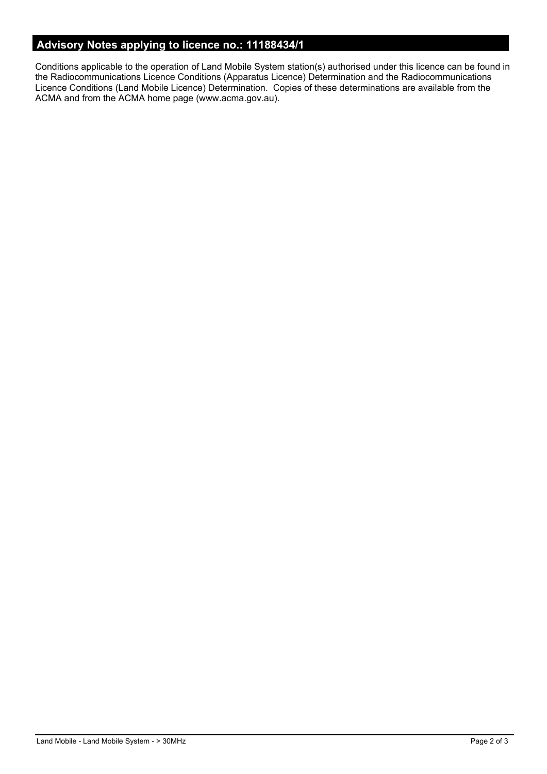# **Advisory Notes applying to licence no.: 11188434/1**

Conditions applicable to the operation of Land Mobile System station(s) authorised under this licence can be found in the Radiocommunications Licence Conditions (Apparatus Licence) Determination and the Radiocommunications Licence Conditions (Land Mobile Licence) Determination. Copies of these determinations are available from the ACMA and from the ACMA home page (www.acma.gov.au).